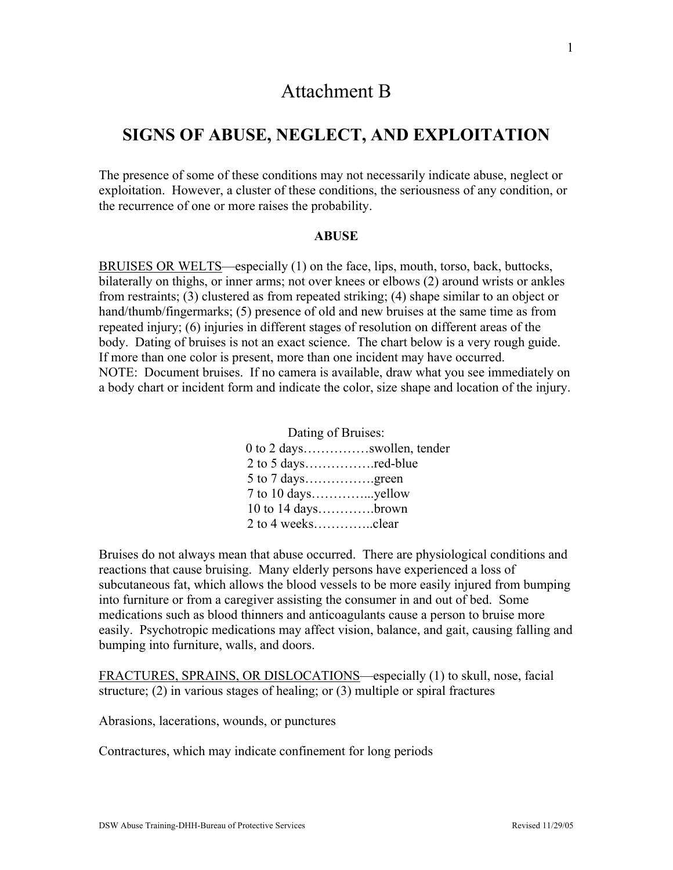# Attachment B

# **SIGNS OF ABUSE, NEGLECT, AND EXPLOITATION**

The presence of some of these conditions may not necessarily indicate abuse, neglect or exploitation. However, a cluster of these conditions, the seriousness of any condition, or the recurrence of one or more raises the probability.

#### **ABUSE**

BRUISES OR WELTS—especially (1) on the face, lips, mouth, torso, back, buttocks, bilaterally on thighs, or inner arms; not over knees or elbows (2) around wrists or ankles from restraints; (3) clustered as from repeated striking; (4) shape similar to an object or hand/thumb/fingermarks; (5) presence of old and new bruises at the same time as from repeated injury; (6) injuries in different stages of resolution on different areas of the body. Dating of bruises is not an exact science. The chart below is a very rough guide. If more than one color is present, more than one incident may have occurred. NOTE: Document bruises. If no camera is available, draw what you see immediately on a body chart or incident form and indicate the color, size shape and location of the injury.

#### Dating of Bruises:

| $0$ to 2 daysswollen, tender |  |
|------------------------------|--|
|                              |  |
| 5 to 7 daysgreen             |  |
|                              |  |
| $10$ to $14$ daysbrown       |  |
|                              |  |

Bruises do not always mean that abuse occurred. There are physiological conditions and reactions that cause bruising. Many elderly persons have experienced a loss of subcutaneous fat, which allows the blood vessels to be more easily injured from bumping into furniture or from a caregiver assisting the consumer in and out of bed. Some medications such as blood thinners and anticoagulants cause a person to bruise more easily. Psychotropic medications may affect vision, balance, and gait, causing falling and bumping into furniture, walls, and doors.

FRACTURES, SPRAINS, OR DISLOCATIONS—especially (1) to skull, nose, facial structure; (2) in various stages of healing; or (3) multiple or spiral fractures

Abrasions, lacerations, wounds, or punctures

Contractures, which may indicate confinement for long periods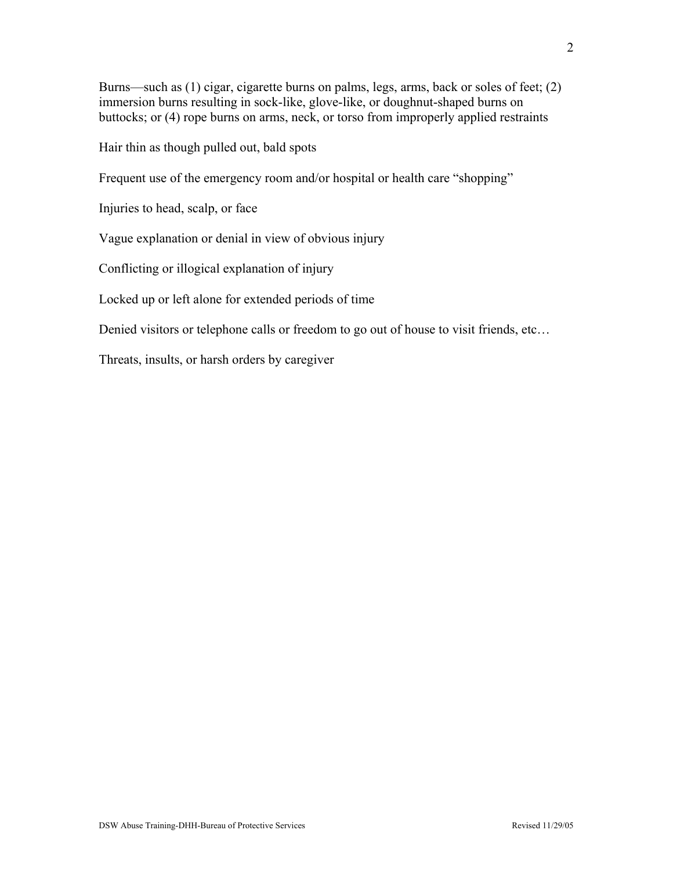Burns—such as (1) cigar, cigarette burns on palms, legs, arms, back or soles of feet; (2) immersion burns resulting in sock-like, glove-like, or doughnut-shaped burns on buttocks; or (4) rope burns on arms, neck, or torso from improperly applied restraints

Hair thin as though pulled out, bald spots

Frequent use of the emergency room and/or hospital or health care "shopping"

Injuries to head, scalp, or face

Vague explanation or denial in view of obvious injury

Conflicting or illogical explanation of injury

Locked up or left alone for extended periods of time

Denied visitors or telephone calls or freedom to go out of house to visit friends, etc…

Threats, insults, or harsh orders by caregiver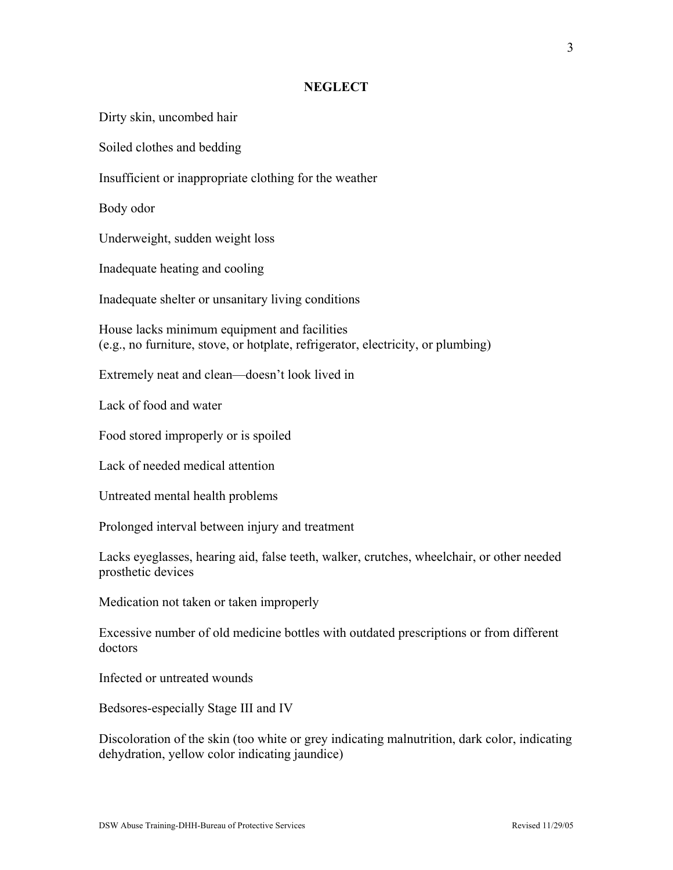#### **NEGLECT**

Dirty skin, uncombed hair

Soiled clothes and bedding

Insufficient or inappropriate clothing for the weather

Body odor

Underweight, sudden weight loss

Inadequate heating and cooling

Inadequate shelter or unsanitary living conditions

House lacks minimum equipment and facilities (e.g., no furniture, stove, or hotplate, refrigerator, electricity, or plumbing)

Extremely neat and clean—doesn't look lived in

Lack of food and water

Food stored improperly or is spoiled

Lack of needed medical attention

Untreated mental health problems

Prolonged interval between injury and treatment

Lacks eyeglasses, hearing aid, false teeth, walker, crutches, wheelchair, or other needed prosthetic devices

Medication not taken or taken improperly

Excessive number of old medicine bottles with outdated prescriptions or from different doctors

Infected or untreated wounds

Bedsores-especially Stage III and IV

Discoloration of the skin (too white or grey indicating malnutrition, dark color, indicating dehydration, yellow color indicating jaundice)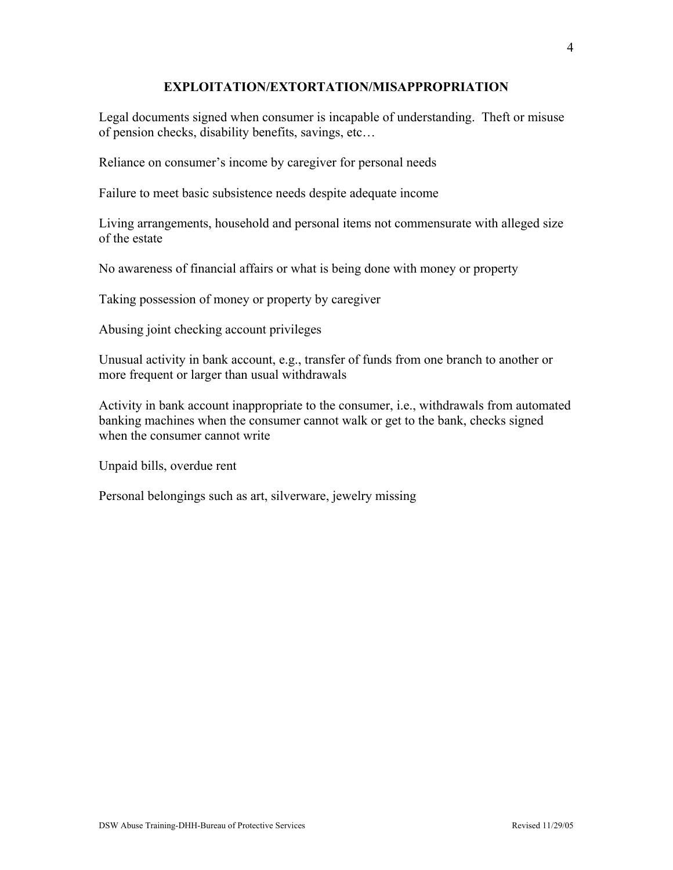## **EXPLOITATION/EXTORTATION/MISAPPROPRIATION**

Legal documents signed when consumer is incapable of understanding. Theft or misuse of pension checks, disability benefits, savings, etc…

Reliance on consumer's income by caregiver for personal needs

Failure to meet basic subsistence needs despite adequate income

Living arrangements, household and personal items not commensurate with alleged size of the estate

No awareness of financial affairs or what is being done with money or property

Taking possession of money or property by caregiver

Abusing joint checking account privileges

Unusual activity in bank account, e.g., transfer of funds from one branch to another or more frequent or larger than usual withdrawals

Activity in bank account inappropriate to the consumer, i.e., withdrawals from automated banking machines when the consumer cannot walk or get to the bank, checks signed when the consumer cannot write

Unpaid bills, overdue rent

Personal belongings such as art, silverware, jewelry missing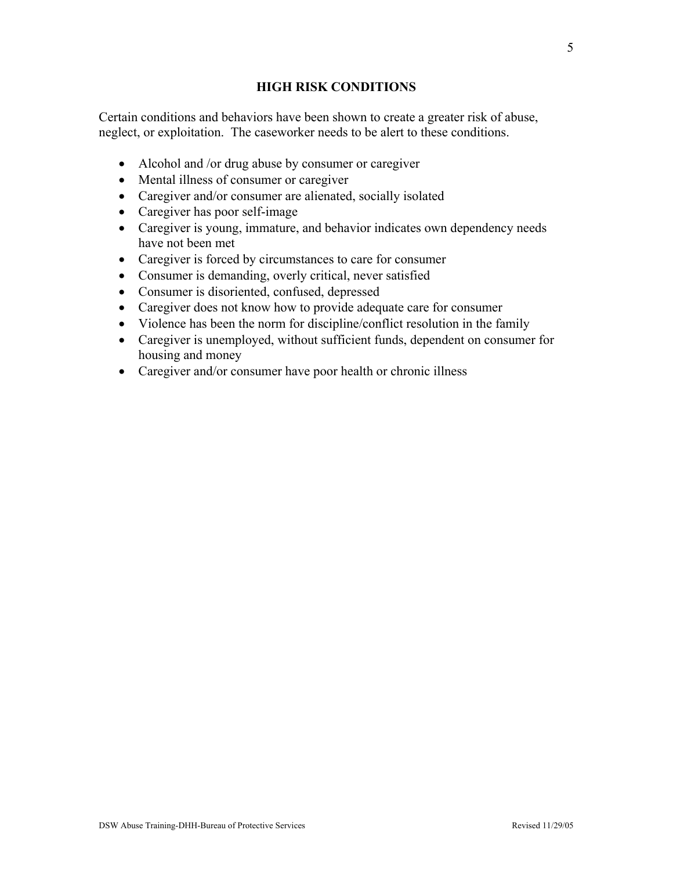# **HIGH RISK CONDITIONS**

Certain conditions and behaviors have been shown to create a greater risk of abuse, neglect, or exploitation. The caseworker needs to be alert to these conditions.

- Alcohol and /or drug abuse by consumer or caregiver
- Mental illness of consumer or caregiver
- Caregiver and/or consumer are alienated, socially isolated
- Caregiver has poor self-image
- Caregiver is young, immature, and behavior indicates own dependency needs have not been met
- Caregiver is forced by circumstances to care for consumer
- Consumer is demanding, overly critical, never satisfied
- Consumer is disoriented, confused, depressed
- Caregiver does not know how to provide adequate care for consumer
- Violence has been the norm for discipline/conflict resolution in the family
- Caregiver is unemployed, without sufficient funds, dependent on consumer for housing and money
- Caregiver and/or consumer have poor health or chronic illness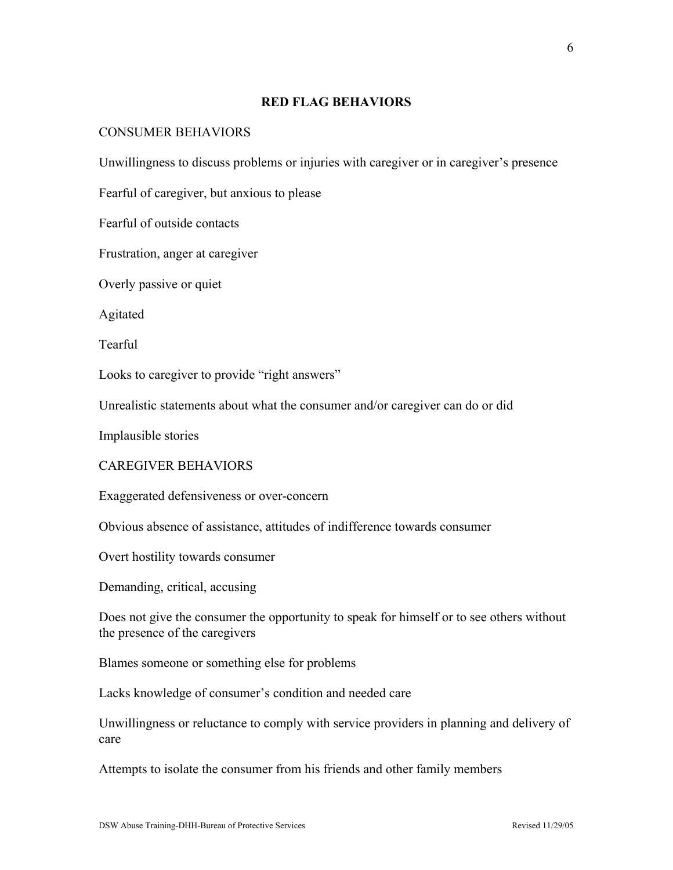#### **RED FLAG BEHAVIORS**

## CONSUMER BEHAVIORS

Unwillingness to discuss problems or injuries with caregiver or in caregiver's presence

Fearful of caregiver, but anxious to please

Fearful of outside contacts

Frustration, anger at caregiver

Overly passive or quiet

Agitated

Tearful

Looks to caregiver to provide "right answers"

Unrealistic statements about what the consumer and/or caregiver can do or did

Implausible stories

## CAREGIVER BEHAVIORS

Exaggerated defensiveness or over-concern

Obvious absence of assistance, attitudes of indifference towards consumer

Overt hostility towards consumer

Demanding, critical, accusing

Does not give the consumer the opportunity to speak for himself or to see others without the presence of the caregivers

Blames someone or something else for problems

Lacks knowledge of consumer's condition and needed care

Unwillingness or reluctance to comply with service providers in planning and delivery of care

Attempts to isolate the consumer from his friends and other family members